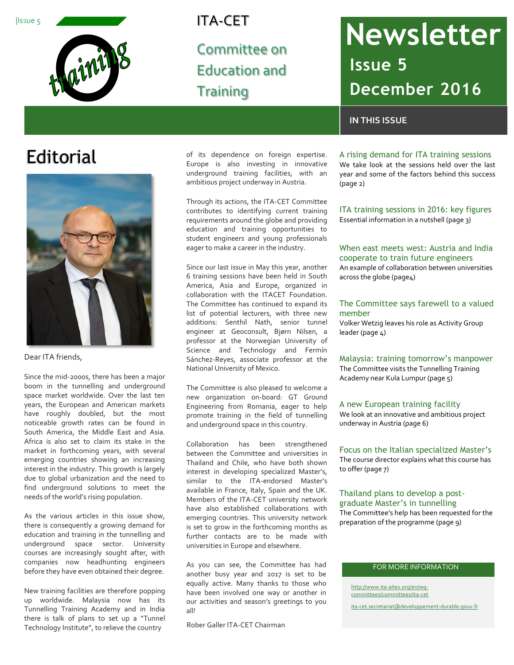

# ITA-CET

Committee on Education and **Training** 

# ITA-CET Newsletter **Issue 5 December 2016**

# **IN THIS ISSUE**

# **Editorial**



Dear ITA friends,

Since the mid-2000s, there has been a major boom in the tunnelling and underground space market worldwide. Over the last ten years, the European and American markets have roughly doubled, but the most noticeable growth rates can be found in South America, the Middle East and Asia. Africa is also set to claim its stake in the market in forthcoming years, with several emerging countries showing an increasing interest in the industry. This growth is largely due to global urbanization and the need to find underground solutions to meet the needs of the world's rising population.

As the various articles in this issue show, there is consequently a growing demand for education and training in the tunnelling and underground space sector. University courses are increasingly sought after, with companies now headhunting engineers before they have even obtained their degree.

New training facilities are therefore popping up worldwide. Malaysia now has its Tunnelling Training Academy and in India there is talk of plans to set up a "Tunnel Technology Institute", to relieve the country

of its dependence on foreign expertise. Europe is also investing in innovative underground training facilities, with an ambitious project underway in Austria.

Through its actions, the ITA-CET Committee contributes to identifying current training requirements around the globe and providing education and training opportunities to student engineers and young professionals eager to make a career in the industry.

Since our last issue in May this year, another 6 training sessions have been held in South America, Asia and Europe, organized in collaboration with the ITACET Foundation. The Committee has continued to expand its list of potential lecturers, with three new additions: Senthil Nath, senior tunnel engineer at Geoconsult, Bjørn Nilsen, a professor at the Norwegian University of Science and Technology and Fermín Sánchez-Reyes, associate professor at the National University of Mexico.

The Committee is also pleased to welcome a new organization on-board: GT Ground Engineering from Romania, eager to help promote training in the field of tunnelling and underground space in this country.

Collaboration has been strengthened between the Committee and universities in Thailand and Chile, who have both shown interest in developing specialized Master's, similar to the ITA-endorsed Master's available in France, Italy, Spain and the UK. Members of the ITA-CET university network have also established collaborations with emerging countries. This university network is set to grow in the forthcoming months as further contacts are to be made with universities in Europe and elsewhere.

As you can see, the Committee has had another busy year and 2017 is set to be equally active. Many thanks to those who have been involved one way or another in our activities and season's greetings to you all!

Rober Galler ITA-CET Chairman

# A rising demand for ITA training sessions

We take look at the sessions held over the last year and some of the factors behind this success (page 2)

ITA training sessions in 2016: key figures Essential information in a nutshell (page 3)

### When east meets west: Austria and India cooperate to train future engineers An example of collaboration between universities across the globe (page4)

### The Committee says farewell to a valued member

Volker Wetzig leaves his role as Activity Group leader (page 4)

# Malaysia: training tomorrow's manpower

The Committee visits the Tunnelling Training Academy near Kula Lumpur (page 5)

### A new European training facility

We look at an innovative and ambitious project underway in Austria (page 6)

## Focus on the Italian specialized Master's

The course director explains what this course has to offer (page 7)

## Thailand plans to develop a postgraduate Master's in tunnelling

The Committee's help has been requested for the preparation of the programme (page 9)

## FOR MORE INFORMATION

[http://www.ita-aites.org/en/wg](http://www.ita-aites.org/en/wg-committees/committees/ita-cet)[committees/committees/ita-cet](http://www.ita-aites.org/en/wg-committees/committees/ita-cet)

[ita-cet.secretariat@developpement-durable.gouv.fr](mailto:ita-cet.secretariat@developpement-durable.gouv.fr)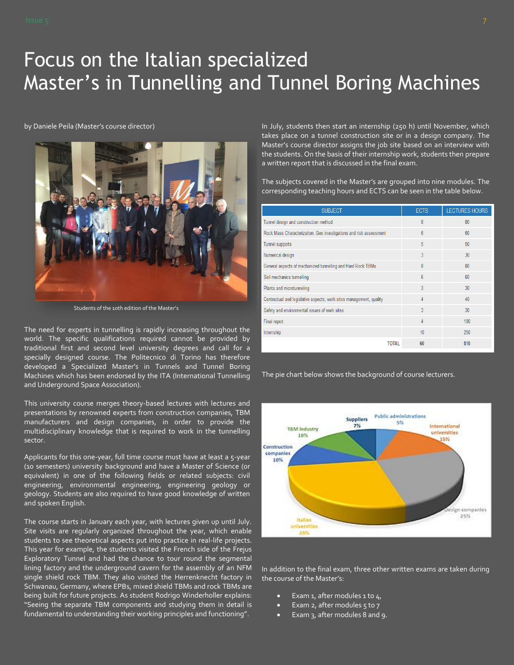# Focus on the Italian specialized Master's in Tunnelling and Tunnel Boring Machines

by Daniele Peila (Master's course director)



Students of the 10th edition of the Master's

The need for experts in tunnelling is rapidly increasing throughout the world. The specific qualifications required cannot be provided by traditional first and second level university degrees and call for a specially designed course. The Politecnico di Torino has therefore developed a Specialized Master's in Tunnels and Tunnel Boring Machines which has been endorsed by the ITA (International Tunnelling and Underground Space Association).

This university course merges theory-based lectures with lectures and presentations by renowned experts from construction companies, TBM manufacturers and design companies, in order to provide the multidisciplinary knowledge that is required to work in the tunnelling sector.

Applicants for this one-year, full time course must have at least a 5-year (10 semesters) university background and have a Master of Science (or equivalent) in one of the following fields or related subjects: civil engineering, environmental engineering, engineering geology or geology. Students are also required to have good knowledge of written and spoken English.

The course starts in January each year, with lectures given up until July. Site visits are regularly organized throughout the year, which enable students to see theoretical aspects put into practice in real-life projects. This year for example, the students visited the French side of the Frejus Exploratory Tunnel and had the chance to tour round the segmental lining factory and the underground cavern for the assembly of an NFM single shield rock TBM. They also visited the Herrenknecht factory in Schwanau, Germany, where EPBs, mixed shield TBMs and rock TBMs are being built for future projects. As student Rodrigo Winderholler explains: "Seeing the separate TBM components and studying them in detail is fundamental to understanding their working principles and functioning".

In July, students then start an internship (250 h) until November, which takes place on a tunnel construction site or in a design company. The Master's course director assigns the job site based on an interview with the students. On the basis of their internship work, students then prepare a written report that is discussed in the final exam.

The subjects covered in the Master's are grouped into nine modules. The corresponding teaching hours and ECTS can be seen in the table below.

| <b>SUBJECT</b>                                                      | <b>ECTS</b> | <b>LECTURES HOURS</b> |
|---------------------------------------------------------------------|-------------|-----------------------|
| Tunnel design and construction method                               | 8           | 80                    |
| Rock Mass Characterization. Geo investigations and risk assessment  | 6           | 60                    |
| <b>Tunnel supports</b>                                              | 5           | 50                    |
| Numerical design                                                    | 3           | 30                    |
| General aspects of mechanized tunnelling and Hard Rock TBMs         | 8           | 80                    |
| Soil mechanics tunnelling                                           | 6           | 60                    |
| Plants and microtunneling                                           | 3           | 30                    |
| Contractual and legislative aspects, work sites management, quality | 4           | 40                    |
| Safety and environmental issues of work sites                       | 3           | 30 <sup>2</sup>       |
| Final report                                                        | 4           | 100                   |
| Internship                                                          | 10          | 250                   |
| <b>TOTAL</b>                                                        | 60          | 810                   |

The pie chart below shows the background of course lecturers.



In addition to the final exam, three other written exams are taken during the course of the Master's:

- Exam 1, after modules 1 to  $4<sub>1</sub>$
- Exam 2, after modules  $5$  to  $7$
- Exam 3, after modules 8 and 9.